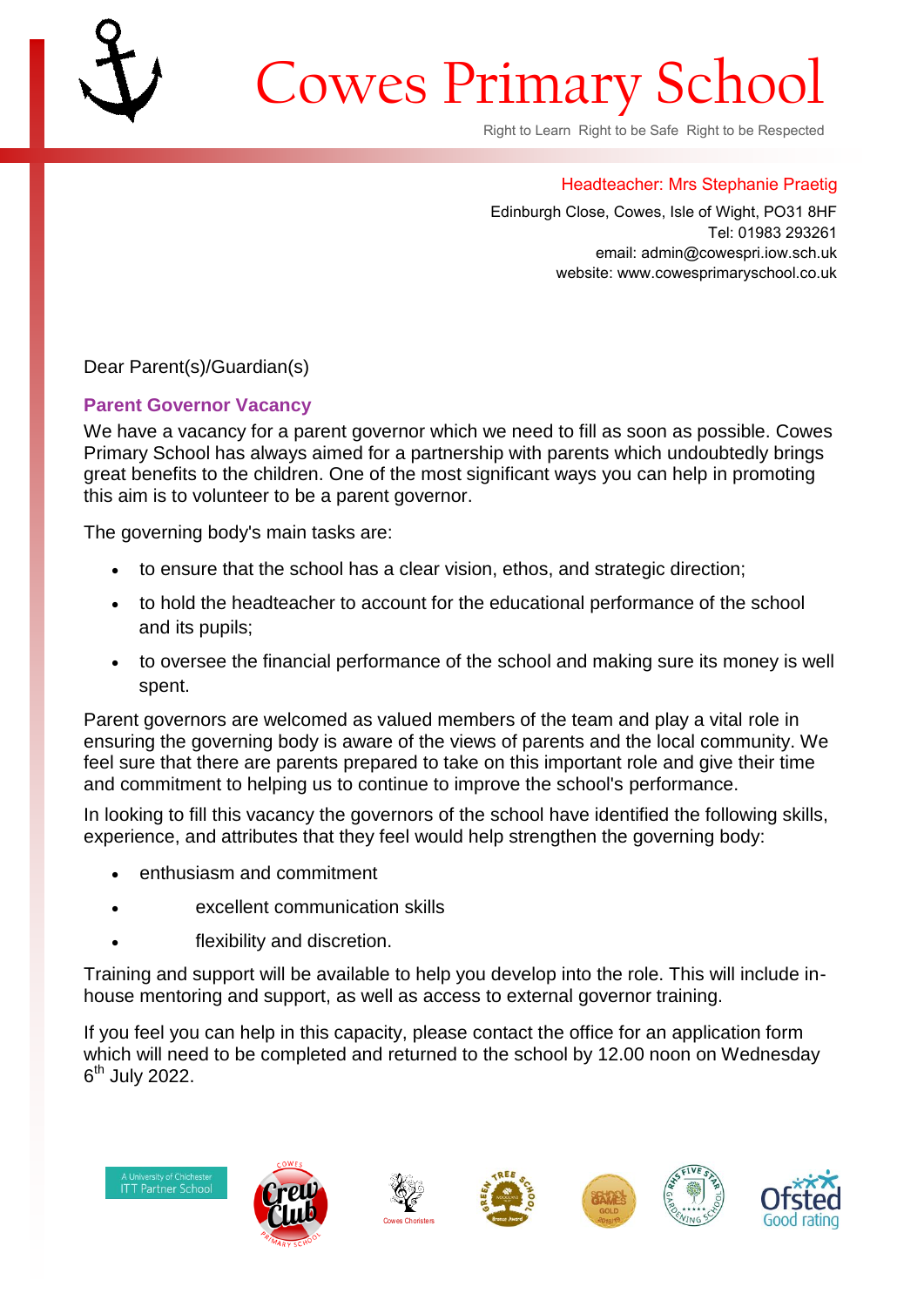## Cowes Primary Schoo

Right to Learn Right to be Safe Right to be Respected

## Headteacher: Mrs Stephanie Praetig

Edinburgh Close, Cowes, Isle of Wight, PO31 8HF Tel: 01983 293261 email: admin@cowespri.iow.sch.uk website: www.cowesprimaryschool.co.uk

Dear Parent(s)/Guardian(s)

## **Parent Governor Vacancy**

We have a vacancy for a parent governor which we need to fill as soon as possible. Cowes Primary School has always aimed for a partnership with parents which undoubtedly brings great benefits to the children. One of the most significant ways you can help in promoting this aim is to volunteer to be a parent governor.

The governing body's main tasks are:

- to ensure that the school has a clear vision, ethos, and strategic direction;
- to hold the headteacher to account for the educational performance of the school and its pupils;
- to oversee the financial performance of the school and making sure its money is well spent.

Parent governors are welcomed as valued members of the team and play a vital role in ensuring the governing body is aware of the views of parents and the local community. We feel sure that there are parents prepared to take on this important role and give their time and commitment to helping us to continue to improve the school's performance.

In looking to fill this vacancy the governors of the school have identified the following skills, experience, and attributes that they feel would help strengthen the governing body:

- enthusiasm and commitment
- excellent communication skills
- flexibility and discretion.

Training and support will be available to help you develop into the role. This will include inhouse mentoring and support, as well as access to external governor training.

If you feel you can help in this capacity, please contact the office for an application form which will need to be completed and returned to the school by 12.00 noon on Wednesday 6<sup>th</sup> July 2022.